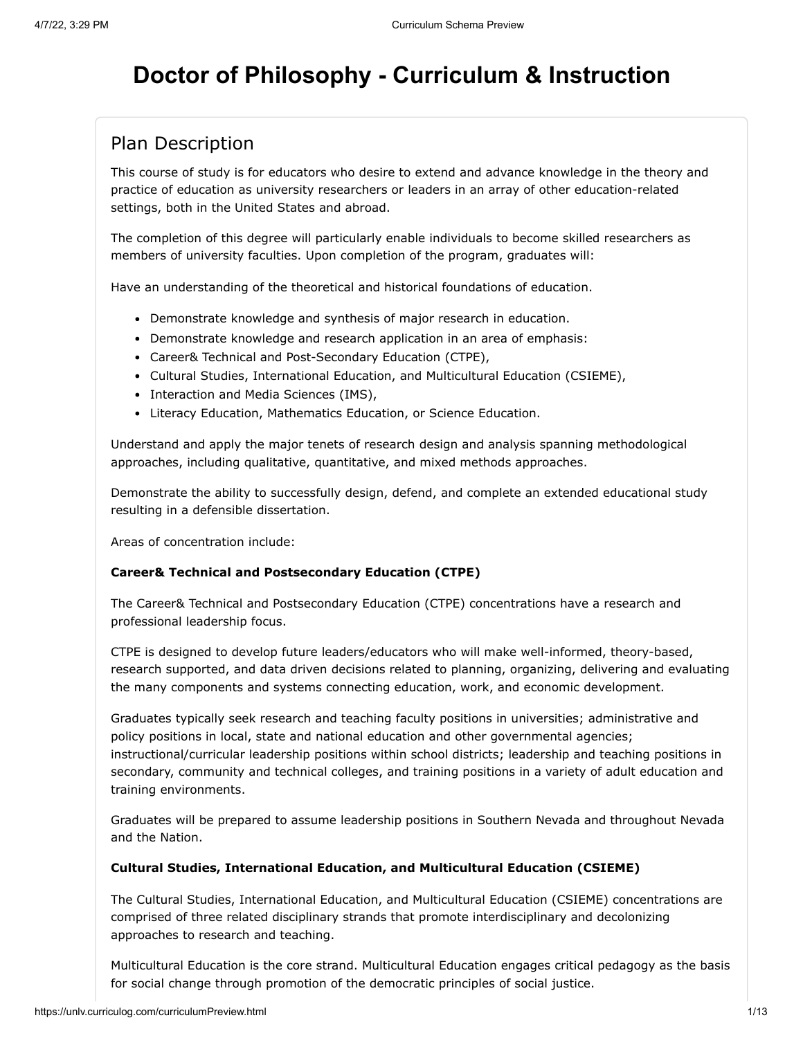# **Doctor of Philosophy - Curriculum & Instruction**

#### Plan Description

This course of study is for educators who desire to extend and advance knowledge in the theory and practice of education as university researchers or leaders in an array of other education-related settings, both in the United States and abroad.

The completion of this degree will particularly enable individuals to become skilled researchers as members of university faculties. Upon completion of the program, graduates will:

Have an understanding of the theoretical and historical foundations of education.

- Demonstrate knowledge and synthesis of major research in education.
- Demonstrate knowledge and research application in an area of emphasis:
- Career& Technical and Post-Secondary Education (CTPE),
- Cultural Studies, International Education, and Multicultural Education (CSIEME),
- Interaction and Media Sciences (IMS),
- Literacy Education, Mathematics Education, or Science Education.

Understand and apply the major tenets of research design and analysis spanning methodological approaches, including qualitative, quantitative, and mixed methods approaches.

Demonstrate the ability to successfully design, defend, and complete an extended educational study resulting in a defensible dissertation.

Areas of concentration include:

#### **Career& Technical and Postsecondary Education (CTPE)**

The Career& Technical and Postsecondary Education (CTPE) concentrations have a research and professional leadership focus.

CTPE is designed to develop future leaders/educators who will make well-informed, theory-based, research supported, and data driven decisions related to planning, organizing, delivering and evaluating the many components and systems connecting education, work, and economic development.

Graduates typically seek research and teaching faculty positions in universities; administrative and policy positions in local, state and national education and other governmental agencies; instructional/curricular leadership positions within school districts; leadership and teaching positions in secondary, community and technical colleges, and training positions in a variety of adult education and training environments.

Graduates will be prepared to assume leadership positions in Southern Nevada and throughout Nevada and the Nation.

#### **Cultural Studies, International Education, and Multicultural Education (CSIEME)**

The Cultural Studies, International Education, and Multicultural Education (CSIEME) concentrations are comprised of three related disciplinary strands that promote interdisciplinary and decolonizing approaches to research and teaching.

Multicultural Education is the core strand. Multicultural Education engages critical pedagogy as the basis for social change through promotion of the democratic principles of social justice.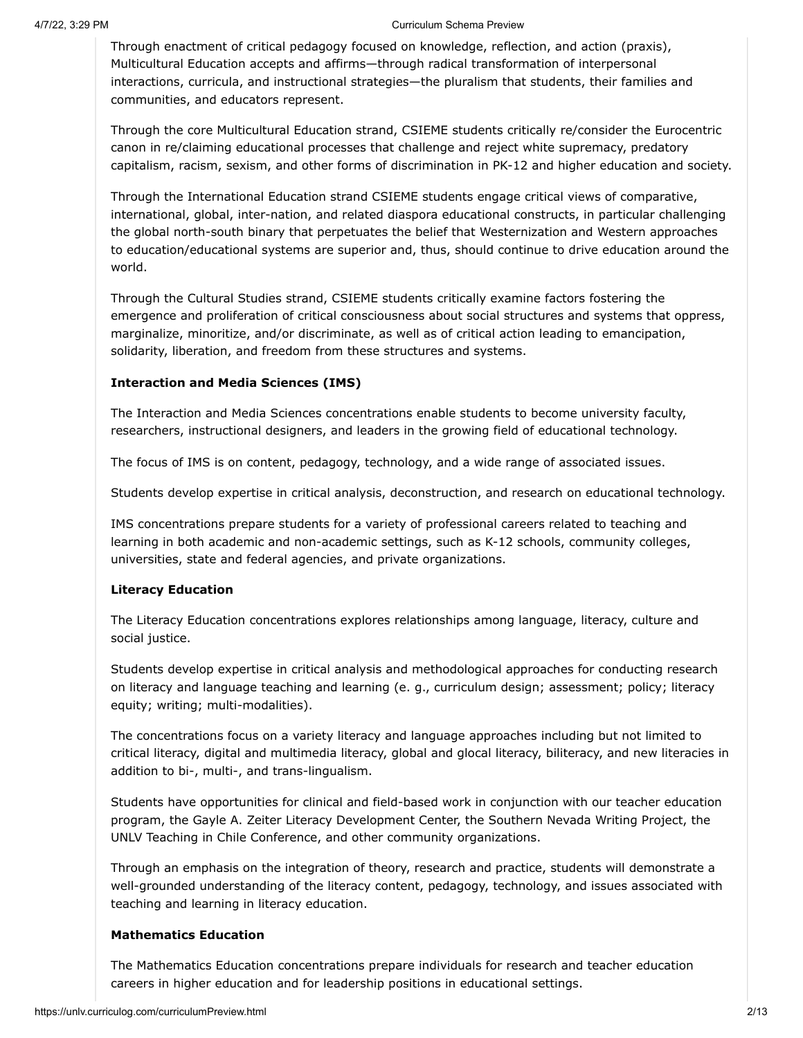#### 4/7/22, 3:29 PM Curriculum Schema Preview

Through enactment of critical pedagogy focused on knowledge, reflection, and action (praxis), Multicultural Education accepts and affirms—through radical transformation of interpersonal interactions, curricula, and instructional strategies—the pluralism that students, their families and communities, and educators represent.

Through the core Multicultural Education strand, CSIEME students critically re/consider the Eurocentric canon in re/claiming educational processes that challenge and reject white supremacy, predatory capitalism, racism, sexism, and other forms of discrimination in PK-12 and higher education and society.

Through the International Education strand CSIEME students engage critical views of comparative, international, global, inter-nation, and related diaspora educational constructs, in particular challenging the global north-south binary that perpetuates the belief that Westernization and Western approaches to education/educational systems are superior and, thus, should continue to drive education around the world.

Through the Cultural Studies strand, CSIEME students critically examine factors fostering the emergence and proliferation of critical consciousness about social structures and systems that oppress, marginalize, minoritize, and/or discriminate, as well as of critical action leading to emancipation, solidarity, liberation, and freedom from these structures and systems.

#### **Interaction and Media Sciences (IMS)**

The Interaction and Media Sciences concentrations enable students to become university faculty, researchers, instructional designers, and leaders in the growing field of educational technology.

The focus of IMS is on content, pedagogy, technology, and a wide range of associated issues.

Students develop expertise in critical analysis, deconstruction, and research on educational technology.

IMS concentrations prepare students for a variety of professional careers related to teaching and learning in both academic and non-academic settings, such as K-12 schools, community colleges, universities, state and federal agencies, and private organizations.

#### **Literacy Education**

The Literacy Education concentrations explores relationships among language, literacy, culture and social justice.

Students develop expertise in critical analysis and methodological approaches for conducting research on literacy and language teaching and learning (e. g., curriculum design; assessment; policy; literacy equity; writing; multi-modalities).

The concentrations focus on a variety literacy and language approaches including but not limited to critical literacy, digital and multimedia literacy, global and glocal literacy, biliteracy, and new literacies in addition to bi-, multi-, and trans-lingualism.

Students have opportunities for clinical and field-based work in conjunction with our teacher education program, the Gayle A. Zeiter Literacy Development Center, the Southern Nevada Writing Project, the UNLV Teaching in Chile Conference, and other community organizations.

Through an emphasis on the integration of theory, research and practice, students will demonstrate a well-grounded understanding of the literacy content, pedagogy, technology, and issues associated with teaching and learning in literacy education.

#### **Mathematics Education**

The Mathematics Education concentrations prepare individuals for research and teacher education careers in higher education and for leadership positions in educational settings.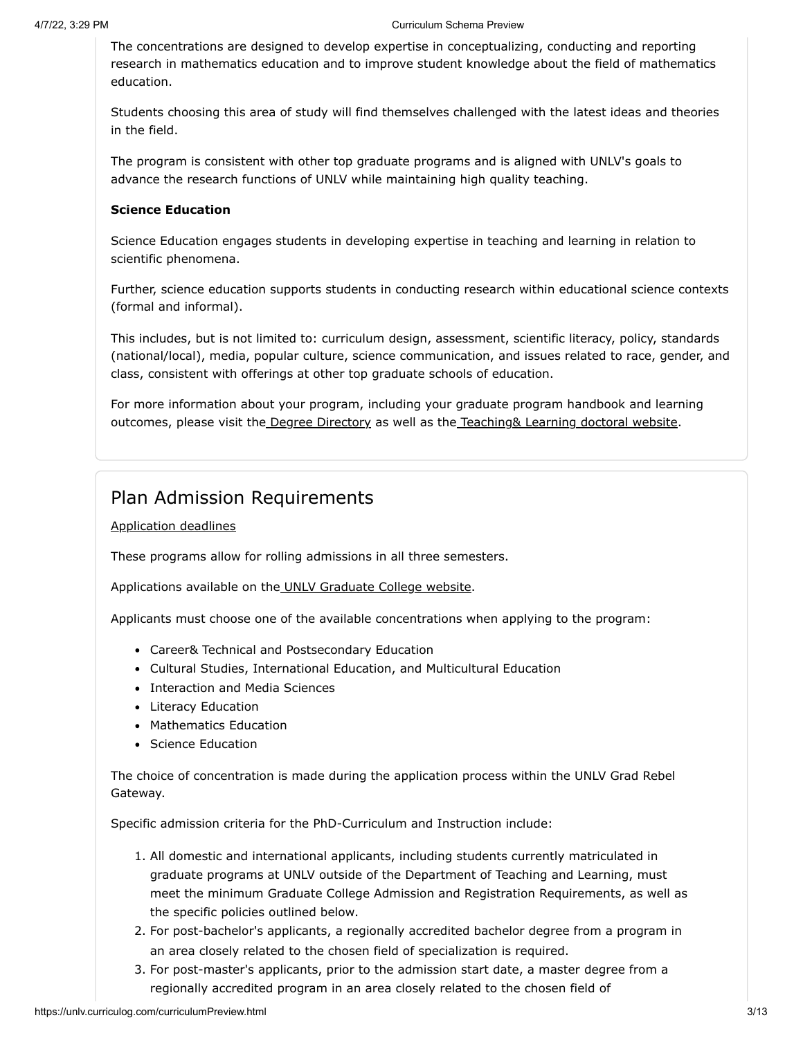The concentrations are designed to develop expertise in conceptualizing, conducting and reporting research in mathematics education and to improve student knowledge about the field of mathematics education.

Students choosing this area of study will find themselves challenged with the latest ideas and theories in the field.

The program is consistent with other top graduate programs and is aligned with UNLV's goals to advance the research functions of UNLV while maintaining high quality teaching.

#### **Science Education**

Science Education engages students in developing expertise in teaching and learning in relation to scientific phenomena.

Further, science education supports students in conducting research within educational science contexts (formal and informal).

This includes, but is not limited to: curriculum design, assessment, scientific literacy, policy, standards (national/local), media, popular culture, science communication, and issues related to race, gender, and class, consistent with offerings at other top graduate schools of education.

For more information about your program, including your graduate program handbook and learning outcomes, please visit the [Degree Directory](https://www.unlv.edu/degree/phd-curriculum-instruction) as well as th[e Teaching& Learning doctoral website](http://tldoc.sites.unlv.edu/).

#### Plan Admission Requirements

[Application deadlines](https://www.unlv.edu/graduatecollege/application-deadlines)

These programs allow for rolling admissions in all three semesters.

Applications available on th[e UNLV Graduate College website.](https://www.unlv.edu/graduatecollege/futurestudents)

Applicants must choose one of the available concentrations when applying to the program:

- Career& Technical and Postsecondary Education
- Cultural Studies, International Education, and Multicultural Education
- Interaction and Media Sciences
- Literacy Education
- Mathematics Education
- Science Education

The choice of concentration is made during the application process within the UNLV Grad Rebel Gateway.

Specific admission criteria for the PhD-Curriculum and Instruction include:

- 1. All domestic and international applicants, including students currently matriculated in graduate programs at UNLV outside of the Department of Teaching and Learning, must meet the minimum Graduate College Admission and Registration Requirements, as well as the specific policies outlined below.
- 2. For post-bachelor's applicants, a regionally accredited bachelor degree from a program in an area closely related to the chosen field of specialization is required.
- 3. For post-master's applicants, prior to the admission start date, a master degree from a regionally accredited program in an area closely related to the chosen field of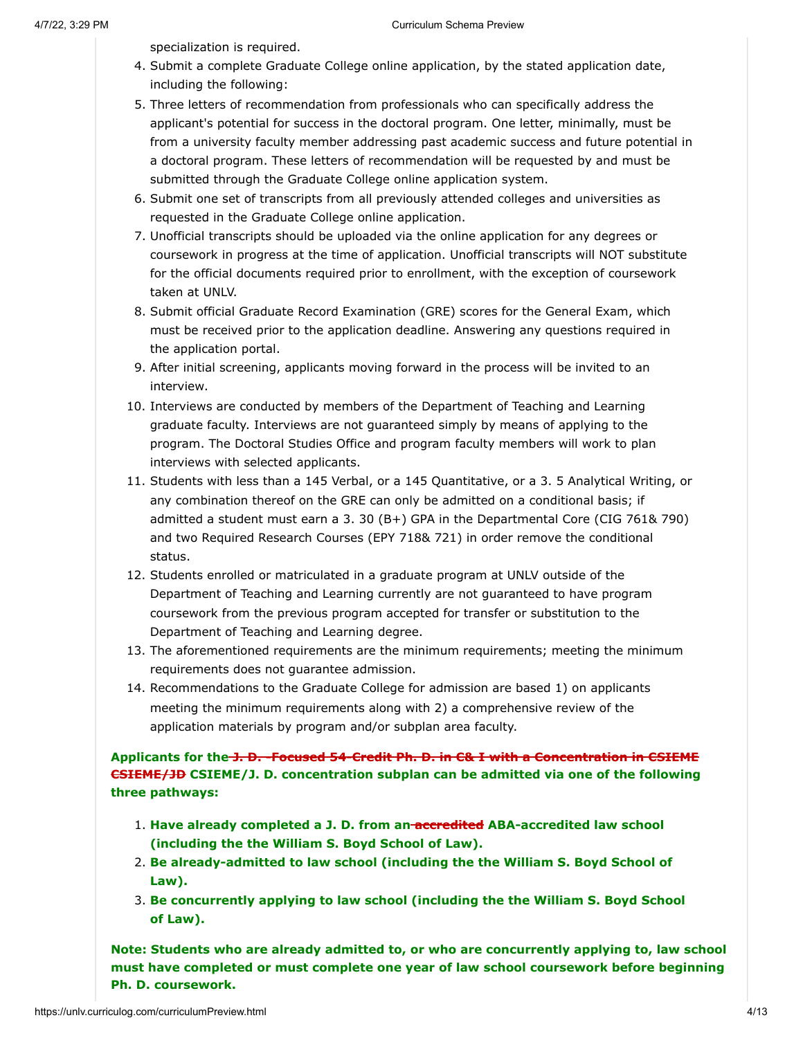specialization is required.

- 4. Submit a complete Graduate College online application, by the stated application date, including the following:
- 5. Three letters of recommendation from professionals who can specifically address the applicant's potential for success in the doctoral program. One letter, minimally, must be from a university faculty member addressing past academic success and future potential in a doctoral program. These letters of recommendation will be requested by and must be submitted through the Graduate College online application system.
- 6. Submit one set of transcripts from all previously attended colleges and universities as requested in the Graduate College online application.
- 7. Unofficial transcripts should be uploaded via the online application for any degrees or coursework in progress at the time of application. Unofficial transcripts will NOT substitute for the official documents required prior to enrollment, with the exception of coursework taken at UNLV.
- 8. Submit official Graduate Record Examination (GRE) scores for the General Exam, which must be received prior to the application deadline. Answering any questions required in the application portal.
- 9. After initial screening, applicants moving forward in the process will be invited to an interview.
- 10. Interviews are conducted by members of the Department of Teaching and Learning graduate faculty. Interviews are not guaranteed simply by means of applying to the program. The Doctoral Studies Office and program faculty members will work to plan interviews with selected applicants.
- 11. Students with less than a 145 Verbal, or a 145 Quantitative, or a 3. 5 Analytical Writing, or any combination thereof on the GRE can only be admitted on a conditional basis; if admitted a student must earn a 3. 30 (B+) GPA in the Departmental Core (CIG 761& 790) and two Required Research Courses (EPY 718& 721) in order remove the conditional status.
- 12. Students enrolled or matriculated in a graduate program at UNLV outside of the Department of Teaching and Learning currently are not guaranteed to have program coursework from the previous program accepted for transfer or substitution to the Department of Teaching and Learning degree.
- 13. The aforementioned requirements are the minimum requirements; meeting the minimum requirements does not guarantee admission.
- 14. Recommendations to the Graduate College for admission are based 1) on applicants meeting the minimum requirements along with 2) a comprehensive review of the application materials by program and/or subplan area faculty.

**Applicants for the J. D. -Focused 54-Credit Ph. D. in C& I with a Concentration in CSIEME CSIEME/JD CSIEME/J. D. concentration subplan can be admitted via one of the following three pathways:**

- 1. **Have already completed a J. D. from an accredited ABA-accredited law school (including the the William S. Boyd School of Law).**
- 2. **Be already-admitted to law school (including the the William S. Boyd School of Law).**
- 3. **Be concurrently applying to law school (including the the William S. Boyd School of Law).**

**Note: Students who are already admitted to, or who are concurrently applying to, law school must have completed or must complete one year of law school coursework before beginning Ph. D. coursework.**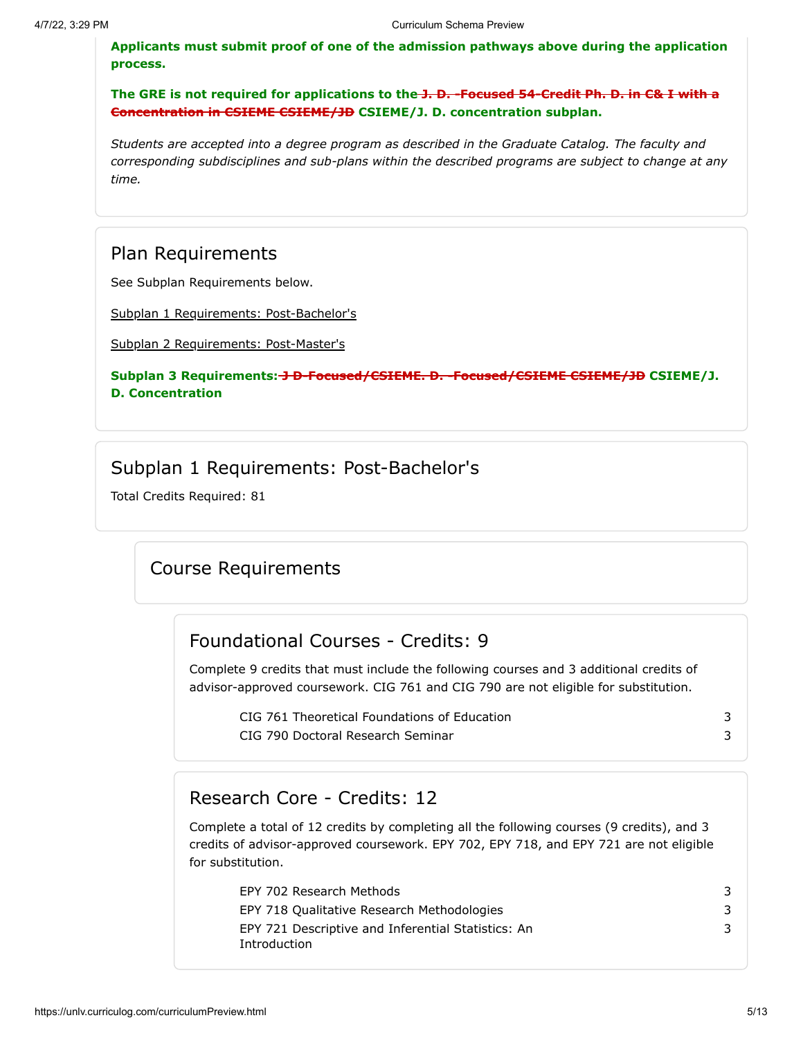**Applicants must submit proof of one of the admission pathways above during the application process.**

**The GRE is not required for applications to the J. D. -Focused 54-Credit Ph. D. in C& I with a Concentration in CSIEME CSIEME/JD CSIEME/J. D. concentration subplan.**

*Students are accepted into a degree program as described in the Graduate Catalog. The faculty and corresponding subdisciplines and sub-plans within the described programs are subject to change at any time.*

#### Plan Requirements

See Subplan Requirements below.

[Subplan 1 Requirements: Post-Bachelor's](#page-4-0)

[Subplan 2 Requirements: Post-Master's](#page-7-0)

#### Subplan 3 Requirements: **J D-Focused/CSIEME. D. -Focused/CSIEME CSIEME/JD** CSIEME/J. **D. Concentration**

#### Subplan 1 Requirements: Post-Bachelor's

<span id="page-4-0"></span>Total Credits Required: 81

#### Course Requirements

#### Foundational Courses - Credits: 9

Complete 9 credits that must include the following courses and 3 additional credits of advisor-approved coursework. CIG 761 and CIG 790 are not eligible for substitution.

| CIG 761 Theoretical Foundations of Education |  |
|----------------------------------------------|--|
| CIG 790 Doctoral Research Seminar            |  |

#### Research Core - Credits: 12

Complete a total of 12 credits by completing all the following courses (9 credits), and 3 credits of advisor-approved coursework. EPY 702, EPY 718, and EPY 721 are not eligible for substitution.

| EPY 702 Research Methods                                           |   |
|--------------------------------------------------------------------|---|
| EPY 718 Qualitative Research Methodologies                         | 3 |
| EPY 721 Descriptive and Inferential Statistics: An<br>Introduction | 3 |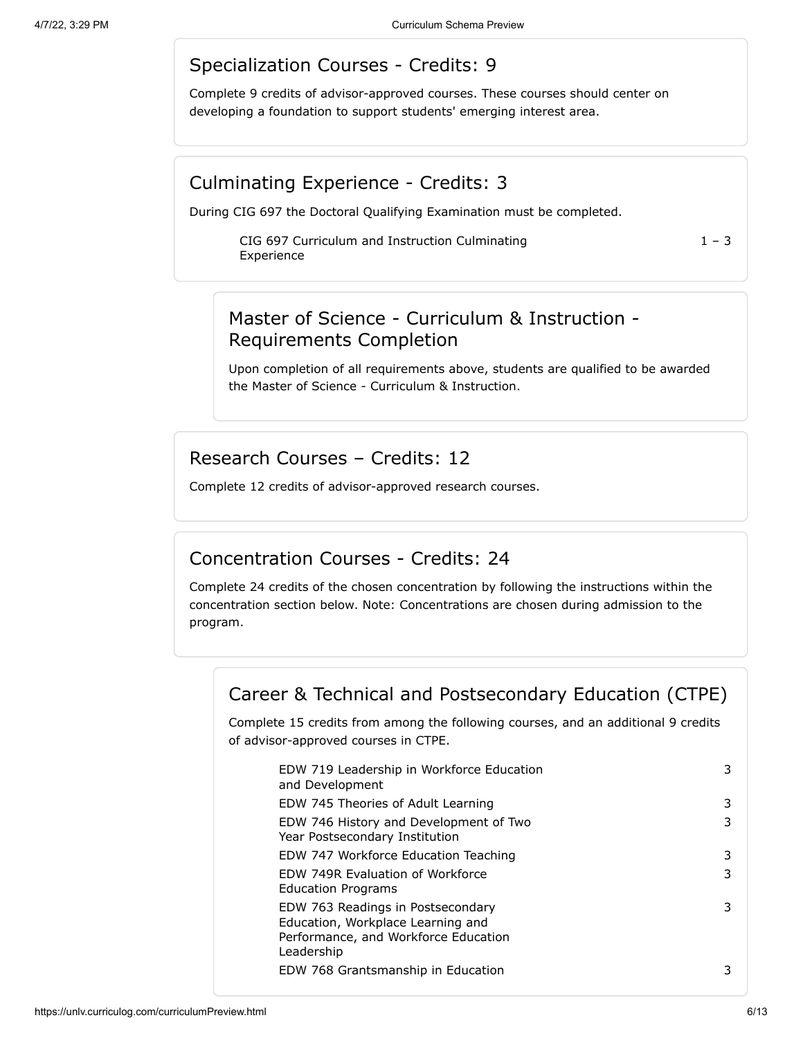### Specialization Courses - Credits: 9

Complete 9 credits of advisor-approved courses. These courses should center on developing a foundation to support students' emerging interest area.

#### Culminating Experience - Credits: 3

During CIG 697 the Doctoral Qualifying Examination must be completed.

CIG 697 Curriculum and Instruction Culminating Experience

 $1 - 3$ 

## Master of Science - Curriculum & Instruction - Requirements Completion

Upon completion of all requirements above, students are qualified to be awarded the Master of Science - Curriculum & Instruction.

### Research Courses – Credits: 12

Complete 12 credits of advisor-approved research courses.

### Concentration Courses - Credits: 24

Complete 24 credits of the chosen concentration by following the instructions within the concentration section below. Note: Concentrations are chosen during admission to the program.

## Career & Technical and Postsecondary Education (CTPE)

Complete 15 credits from among the following courses, and an additional 9 credits of advisor-approved courses in CTPE.

| EDW 719 Leadership in Workforce Education<br>and Development                                                                 | 3 |
|------------------------------------------------------------------------------------------------------------------------------|---|
| EDW 745 Theories of Adult Learning                                                                                           | 3 |
| EDW 746 History and Development of Two<br>Year Postsecondary Institution                                                     | 3 |
| EDW 747 Workforce Education Teaching                                                                                         | 3 |
| EDW 749R Evaluation of Workforce<br><b>Education Programs</b>                                                                | 3 |
| EDW 763 Readings in Postsecondary<br>Education, Workplace Learning and<br>Performance, and Workforce Education<br>Leadership | 3 |
| EDW 768 Grantsmanship in Education                                                                                           | 3 |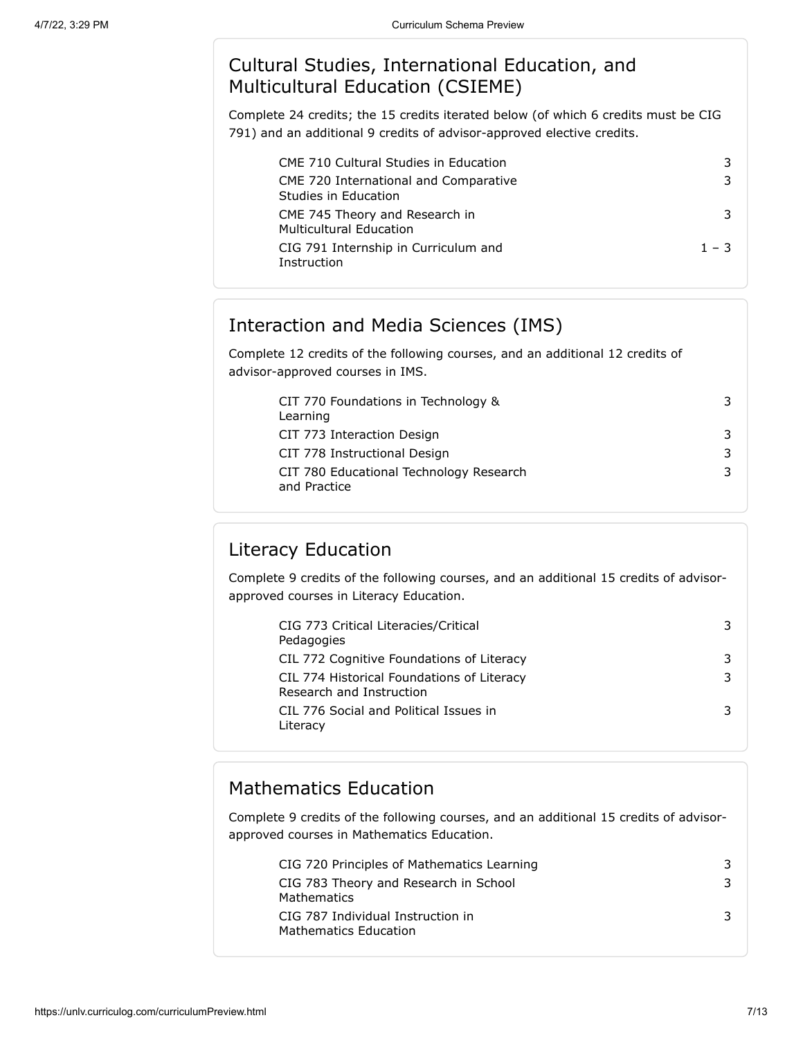# Cultural Studies, International Education, and Multicultural Education (CSIEME)

Complete 24 credits; the 15 credits iterated below (of which 6 credits must be CIG 791) and an additional 9 credits of advisor-approved elective credits.

| <b>CME 710 Cultural Studies in Education</b>                     |         |
|------------------------------------------------------------------|---------|
| CME 720 International and Comparative<br>Studies in Education    |         |
| CME 745 Theory and Research in<br><b>Multicultural Education</b> |         |
| CIG 791 Internship in Curriculum and<br>Instruction              | $1 - 3$ |

# Interaction and Media Sciences (IMS)

Complete 12 credits of the following courses, and an additional 12 credits of advisor-approved courses in IMS.

| CIT 770 Foundations in Technology &                     | 3. |
|---------------------------------------------------------|----|
| Learning                                                |    |
| CIT 773 Interaction Design                              | 3. |
| CIT 778 Instructional Design                            | 3. |
| CIT 780 Educational Technology Research<br>and Practice | 3. |

# Literacy Education

Complete 9 credits of the following courses, and an additional 15 credits of advisorapproved courses in Literacy Education.

| CIG 773 Critical Literacies/Critical<br>Pedagogies                     | 3 |
|------------------------------------------------------------------------|---|
| CIL 772 Cognitive Foundations of Literacy                              | 3 |
| CIL 774 Historical Foundations of Literacy<br>Research and Instruction | 3 |
| CIL 776 Social and Political Issues in<br>Literacy                     |   |

# Mathematics Education

Complete 9 credits of the following courses, and an additional 15 credits of advisorapproved courses in Mathematics Education.

| CIG 720 Principles of Mathematics Learning                        |  |
|-------------------------------------------------------------------|--|
| CIG 783 Theory and Research in School<br>Mathematics              |  |
| CIG 787 Individual Instruction in<br><b>Mathematics Education</b> |  |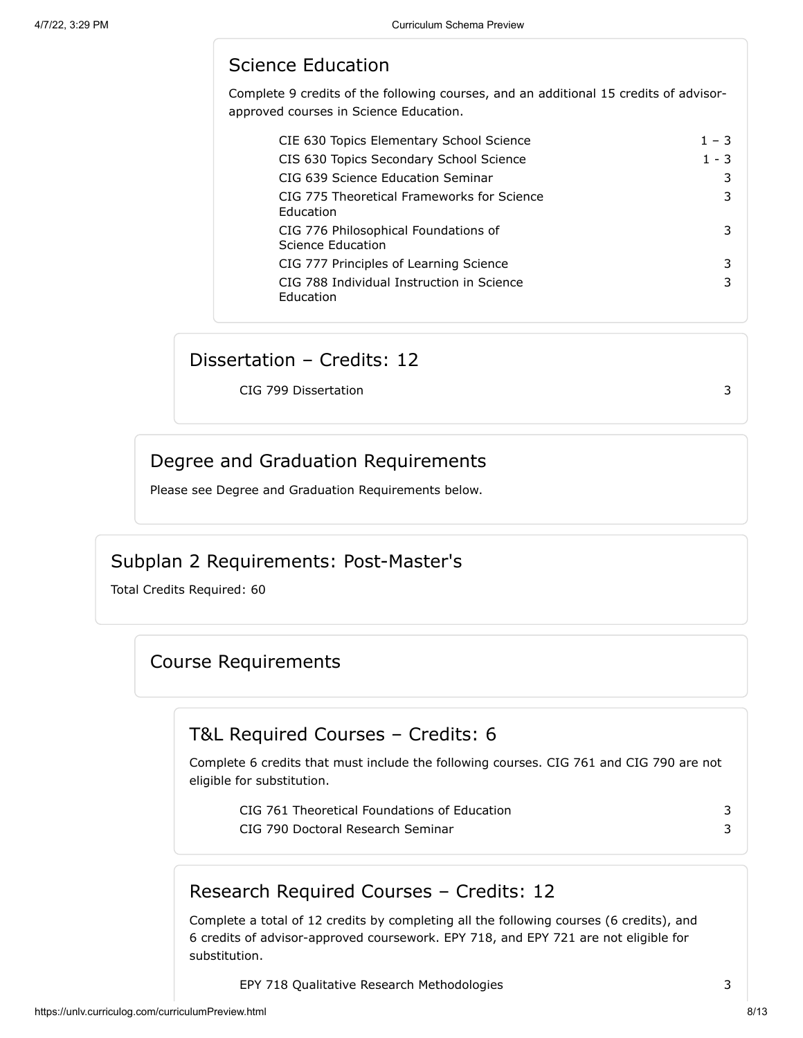# Science Education

Complete 9 credits of the following courses, and an additional 15 credits of advisorapproved courses in Science Education.

| CIE 630 Topics Elementary School Science                       | $1 - 3$ |
|----------------------------------------------------------------|---------|
| CIS 630 Topics Secondary School Science                        | 1 - 3   |
| CIG 639 Science Education Seminar                              |         |
| CIG 775 Theoretical Frameworks for Science<br><b>Education</b> |         |
| CIG 776 Philosophical Foundations of<br>Science Education      |         |
| CIG 777 Principles of Learning Science                         | 3       |
| CIG 788 Individual Instruction in Science<br><b>Education</b>  |         |

#### Dissertation – Credits: 12

CIG 799 Dissertation 3

### Degree and Graduation Requirements

Please see Degree and Graduation Requirements below.

#### Subplan 2 Requirements: Post-Master's

<span id="page-7-0"></span>Total Credits Required: 60

## Course Requirements

## T&L Required Courses – Credits: 6

Complete 6 credits that must include the following courses. CIG 761 and CIG 790 are not eligible for substitution.

| CIG 761 Theoretical Foundations of Education |  |
|----------------------------------------------|--|
| CIG 790 Doctoral Research Seminar            |  |

# Research Required Courses – Credits: 12

Complete a total of 12 credits by completing all the following courses (6 credits), and 6 credits of advisor-approved coursework. EPY 718, and EPY 721 are not eligible for substitution.

EPY 718 Qualitative Research Methodologies 3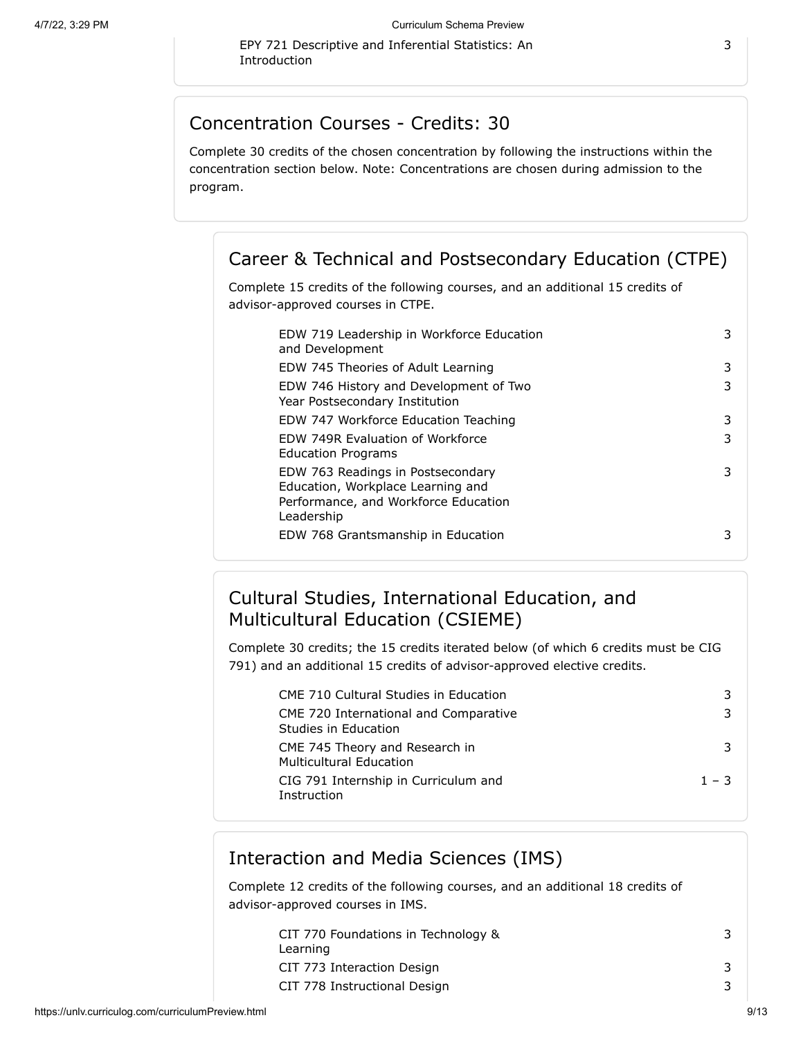EPY 721 Descriptive and Inferential Statistics: An Introduction

#### Concentration Courses - Credits: 30

Complete 30 credits of the chosen concentration by following the instructions within the concentration section below. Note: Concentrations are chosen during admission to the program.

#### Career & Technical and Postsecondary Education (CTPE)

Complete 15 credits of the following courses, and an additional 15 credits of advisor-approved courses in CTPE.

| EDW 719 Leadership in Workforce Education<br>and Development                                                                 | 3 |
|------------------------------------------------------------------------------------------------------------------------------|---|
| EDW 745 Theories of Adult Learning                                                                                           | 3 |
| EDW 746 History and Development of Two<br>Year Postsecondary Institution                                                     | 3 |
| EDW 747 Workforce Education Teaching                                                                                         | 3 |
| FDW 749R Evaluation of Workforce<br><b>Education Programs</b>                                                                | 3 |
| EDW 763 Readings in Postsecondary<br>Education, Workplace Learning and<br>Performance, and Workforce Education<br>Leadership | 3 |
| EDW 768 Grantsmanship in Education                                                                                           | 3 |
|                                                                                                                              |   |

# Cultural Studies, International Education, and Multicultural Education (CSIEME)

Complete 30 credits; the 15 credits iterated below (of which 6 credits must be CIG 791) and an additional 15 credits of advisor-approved elective credits.

| <b>CME 710 Cultural Studies in Education</b>                     |         |
|------------------------------------------------------------------|---------|
| CME 720 International and Comparative<br>Studies in Education    |         |
| CME 745 Theory and Research in<br><b>Multicultural Education</b> |         |
| CIG 791 Internship in Curriculum and<br>Instruction              | $1 - 3$ |

#### Interaction and Media Sciences (IMS)

Complete 12 credits of the following courses, and an additional 18 credits of advisor-approved courses in IMS.

| CIT 770 Foundations in Technology &    |  |
|----------------------------------------|--|
| Learning<br>CIT 773 Interaction Design |  |
| CIT 778 Instructional Design           |  |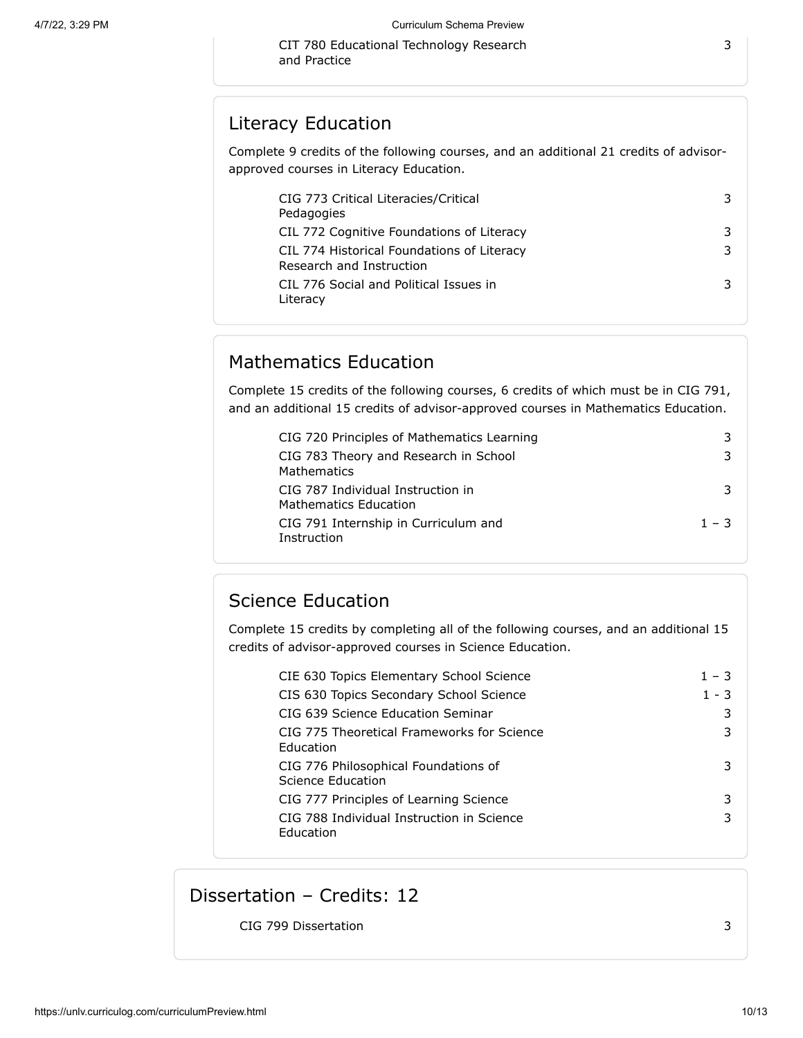CIT 780 Educational Technology Research and Practice

#### Literacy Education

Complete 9 credits of the following courses, and an additional 21 credits of advisorapproved courses in Literacy Education.

| CIG 773 Critical Literacies/Critical<br>Pedagogies                     |  |
|------------------------------------------------------------------------|--|
| CIL 772 Cognitive Foundations of Literacy                              |  |
| CIL 774 Historical Foundations of Literacy<br>Research and Instruction |  |
| CIL 776 Social and Political Issues in<br>Literacy                     |  |

### Mathematics Education

Complete 15 credits of the following courses, 6 credits of which must be in CIG 791, and an additional 15 credits of advisor-approved courses in Mathematics Education.

| CIG 720 Principles of Mathematics Learning                        | 3       |
|-------------------------------------------------------------------|---------|
| CIG 783 Theory and Research in School<br>Mathematics              | 3       |
| CIG 787 Individual Instruction in<br><b>Mathematics Education</b> | 3       |
| CIG 791 Internship in Curriculum and<br>Instruction               | $1 - 3$ |

# Science Education

Complete 15 credits by completing all of the following courses, and an additional 15 credits of advisor-approved courses in Science Education.

| CIE 630 Topics Elementary School Science                  | $1 - 3$ |
|-----------------------------------------------------------|---------|
| CIS 630 Topics Secondary School Science                   | $1 - 3$ |
| CIG 639 Science Education Seminar                         | 3       |
| CIG 775 Theoretical Frameworks for Science<br>Education   | 3       |
| CIG 776 Philosophical Foundations of<br>Science Education | 3       |
| CIG 777 Principles of Learning Science                    | 3       |
| CIG 788 Individual Instruction in Science<br>Education    | 3       |

## Dissertation – Credits: 12

CIG 799 Dissertation 3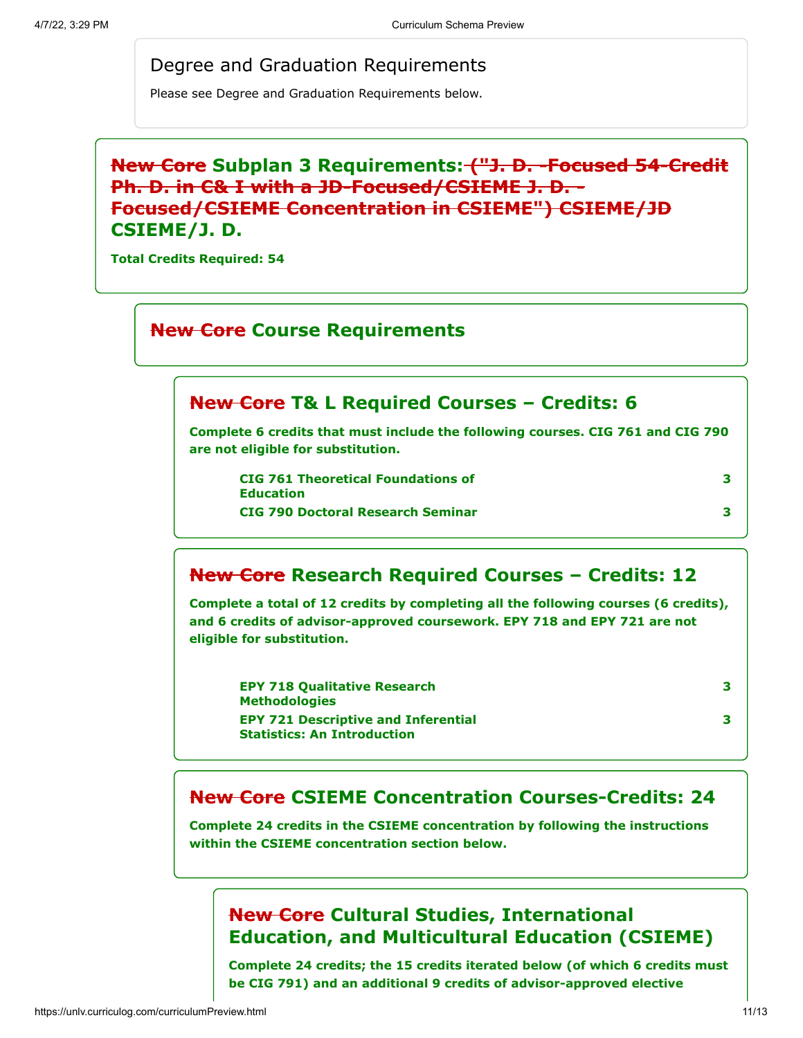#### Degree and Graduation Requirements

Please see Degree and Graduation Requirements below.

## **New Core Subplan 3 Requirements: ("J. D. -Focused 54-Credit Ph. D. in C& I with a JD-Focused/CSIEME J. D. - Focused/CSIEME Concentration in CSIEME") CSIEME/JD CSIEME/J. D.**

**Total Credits Required: 54**

#### **New Core Course Requirements**

#### **New Core T& L Required Courses – Credits: 6**

**Complete 6 credits that must include the following courses. CIG 761 and CIG 790 are not eligible for substitution.**

**CIG 761 Theoretical Foundations of Education CIG 790 Doctoral Research Seminar 3**

#### **New Core Research Required Courses – Credits: 12**

**Complete a total of 12 credits by completing all the following courses (6 credits), and 6 credits of advisor-approved coursework. EPY 718 and EPY 721 are not eligible for substitution.**

| <b>EPY 718 Qualitative Research</b>        |
|--------------------------------------------|
| <b>Methodologies</b>                       |
| <b>EPY 721 Descriptive and Inferential</b> |
| <b>Statistics: An Introduction</b>         |

# **3 3**

**3**

#### **New Core CSIEME Concentration Courses-Credits: 24**

**Complete 24 credits in the CSIEME concentration by following the instructions within the CSIEME concentration section below.**

#### **New Core Cultural Studies, International Education, and Multicultural Education (CSIEME)**

**Complete 24 credits; the 15 credits iterated below (of which 6 credits must be CIG 791) and an additional 9 credits of advisor-approved elective**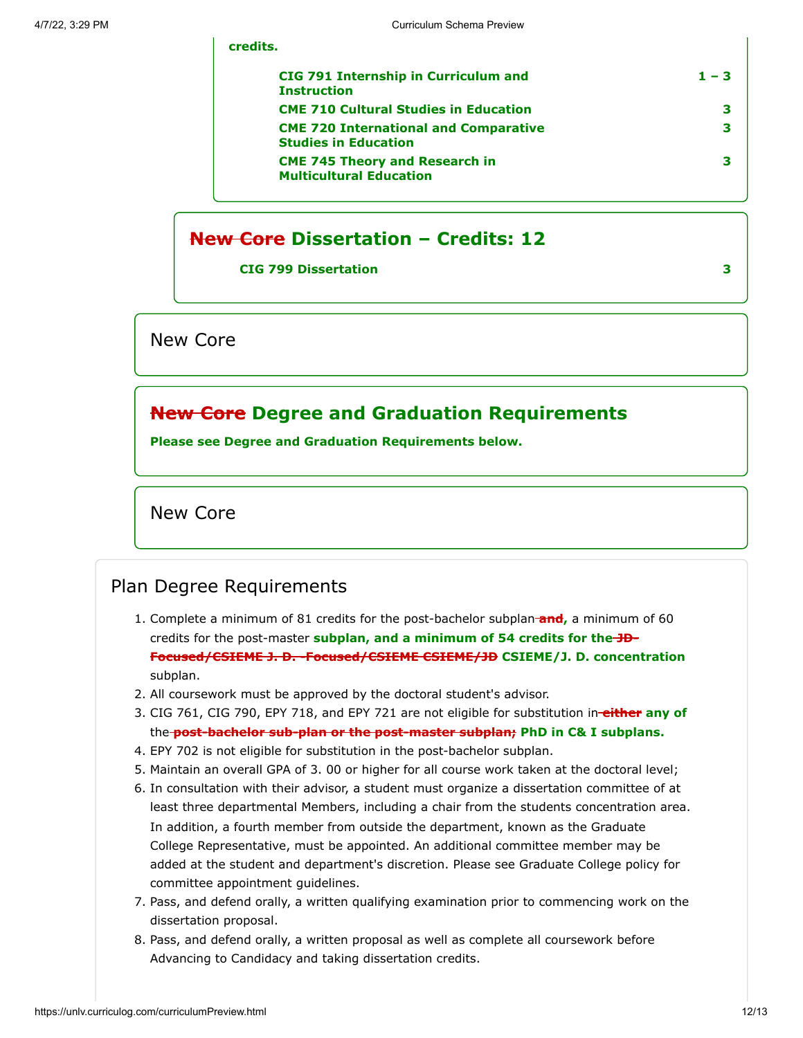| <b>CIG 791 Internship in Curriculum and</b><br><b>Instruction</b>           | $1 - 3$ |
|-----------------------------------------------------------------------------|---------|
| <b>CME 710 Cultural Studies in Education</b>                                |         |
| <b>CME 720 International and Comparative</b><br><b>Studies in Education</b> |         |
| <b>CME 745 Theory and Research in</b><br><b>Multicultural Education</b>     |         |

#### **New Core Dissertation – Credits: 12**

**CIG 799 Dissertation 3**

**credits.**

New Core

#### **New Core Degree and Graduation Requirements**

**Please see Degree and Graduation Requirements below.**

New Core

#### Plan Degree Requirements

- 1. Complete a minimum of 81 credits for the post-bachelor subplan **and,** a minimum of 60 credits for the post-master **subplan, and a minimum of 54 credits for the JD-Focused/CSIEME J. D. -Focused/CSIEME CSIEME/JD CSIEME/J. D. concentration** subplan.
- 2. All coursework must be approved by the doctoral student's advisor.
- 3. CIG 761, CIG 790, EPY 718, and EPY 721 are not eligible for substitution in **either any of** the **post-bachelor sub-plan or the post-master subplan; PhD in C& I subplans.**
- 4. EPY 702 is not eligible for substitution in the post-bachelor subplan.
- 5. Maintain an overall GPA of 3. 00 or higher for all course work taken at the doctoral level;
- 6. In consultation with their advisor, a student must organize a dissertation committee of at least three departmental Members, including a chair from the students concentration area. In addition, a fourth member from outside the department, known as the Graduate College Representative, must be appointed. An additional committee member may be added at the student and department's discretion. Please see Graduate College policy for committee appointment guidelines.
- 7. Pass, and defend orally, a written qualifying examination prior to commencing work on the dissertation proposal.
- 8. Pass, and defend orally, a written proposal as well as complete all coursework before Advancing to Candidacy and taking dissertation credits.